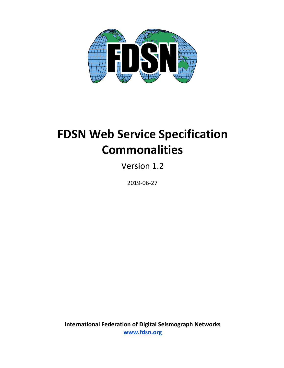

# **FDSN Web Service Specification Commonalities**

Version 1.2

2019-06-27

**International Federation of Digital Seismograph Networks [www.fdsn.org](http://www.fdsn.org/)**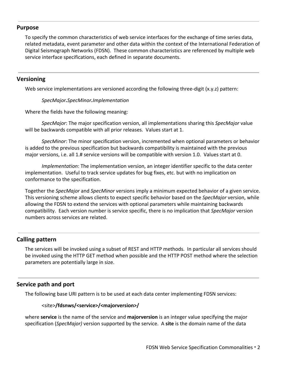# **Purpose**

To specify the common characteristics of web service interfaces for the exchange of time series data, related metadata, event parameter and other data within the context of the International Federation of Digital Seismograph Networks (FDSN). These common characteristics are referenced by multiple web service interface specifications, each defined in separate documents.

# **Versioning**

Web service implementations are versioned according the following three-digit (x.y.z) pattern:

*SpecMajor.SpecMinor.Implementation*

Where the fields have the following meaning:

*SpecMajor*: The major specification version, all implementations sharing this *SpecMajor* value will be backwards compatible with all prior releases. Values start at 1.

*SpecMinor*: The minor specification version, incremented when optional parameters or behavior is added to the previous specification but backwards compatibility is maintained with the previous major versions, i.e. all 1.# service versions will be compatible with version 1.0. Values start at 0.

*Implementation*: The implementation version, an integer identifier specific to the data center implementation. Useful to track service updates for bug fixes, etc. but with no implication on conformance to the specification.

Together the *SpecMajor* and *SpecMinor* versions imply a minimum expected behavior of a given service. This versioning scheme allows clients to expect specific behavior based on the *SpecMajor* version, while allowing the FDSN to extend the services with optional parameters while maintaining backwards compatibility. Each version number is service specific, there is no implication that *SpecMajor* version numbers across services are related.

# **Calling pattern**

The services will be invoked using a subset of REST and HTTP methods. In particular all services should be invoked using the HTTP GET method when possible and the HTTP POST method where the selection parameters are potentially large in size.

# **Service path and port**

The following base URI pattern is to be used at each data center implementing FDSN services:

## <site>**/fdsnws/<service>/<majorversion>/**

where **service** is the name of the service and **majorversion** is an integer value specifying the major specification (*SpecMajor)* version supported by the service. A **site** is the domain name of the data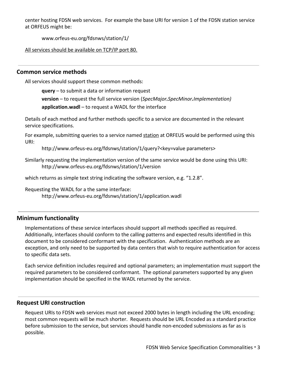center hosting FDSN web services. For example the base URI for version 1 of the FDSN station service at ORFEUS might be:

www.orfeus-eu.org/fdsnws/station/1/

All services should be available on TCP/IP port 80.

# **Common service methods**

All services should support these common methods:

**query** – to submit a data or information request

**version** – to request the full service version (*SpecMajor.SpecMinor.Implementation)*

**application.wadl** – to request a WADL for the interface

Details of each method and further methods specific to a service are documented in the relevant service specifications.

For example, submitting queries to a service named station at ORFEUS would be performed using this URI:

http://www.orfeus-eu.org/fdsnws/station/1/query?<key=value parameters>

Similarly requesting the implementation version of the same service would be done using this URI: http://www.orfeus-eu.org/fdsnws/station/1/version

which returns as simple text string indicating the software version, e.g. "1.2.8".

Requesting the WADL for a the same interface: http://www.orfeus-eu.org/fdsnws/station/1/application.wadl

# **Minimum functionality**

Implementations of these service interfaces should support all methods specified as required. Additionally, interfaces should conform to the calling patterns and expected results identified in this document to be considered conformant with the specification. Authentication methods are an exception, and only need to be supported by data centers that wish to require authentication for access to specific data sets.

Each service definition includes required and optional parameters; an implementation must support the required parameters to be considered conformant. The optional parameters supported by any given implementation should be specified in the WADL returned by the service.

## **Request URI construction**

Request URIs to FDSN web services must not exceed 2000 bytes in length including the URL encoding; most common requests will be much shorter. Requests should be URL Encoded as a standard practice before submission to the service, but services should handle non-encoded submissions as far as is possible.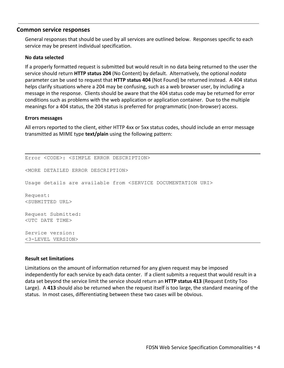# **Common service responses**

General responses that should be used by all services are outlined below. Responses specific to each service may be present individual specification.

#### **No data selected**

If a properly formatted request is submitted but would result in no data being returned to the user the service should return **HTTP status 204** (No Content) by default. Alternatively, the optional *nodata* parameter can be used to request that **HTTP status 404** (Not Found) be returned instead. A 404 status helps clarify situations where a 204 may be confusing, such as a web browser user, by including a message in the response. Clients should be aware that the 404 status code may be returned for error conditions such as problems with the web application or application container. Due to the multiple meanings for a 404 status, the 204 status is preferred for programmatic (non-browser) access.

#### **Errors messages**

All errors reported to the client, either HTTP 4xx or 5xx status codes, should include an error message transmitted as MIME type **text/plain** using the following pattern:

Error <CODE>: <SIMPLE ERROR DESCRIPTION> <MORE DETAILED ERROR DESCRIPTION> Usage details are available from <SERVICE DOCUMENTATION URI> Request: <SUBMITTED URL> Request Submitted: <UTC DATE TIME> Service version: <3-LEVEL VERSION>

#### **Result set limitations**

Limitations on the amount of information returned for any given request may be imposed independently for each service by each data center. If a client submits a request that would result in a data set beyond the service limit the service should return an **HTTP status 413** (Request Entity Too Large). A **413** should also be returned when the request itself is too large, the standard meaning of the status. In most cases, differentiating between these two cases will be obvious.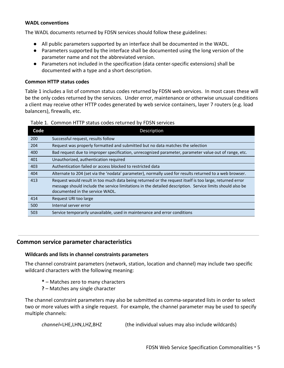#### **WADL conventions**

The WADL documents returned by FDSN services should follow these guidelines:

- All public parameters supported by an interface shall be documented in the WADL.
- Parameters supported by the interface shall be documented using the long version of the parameter name and not the abbreviated version.
- Parameters not included in the specification (data center-specific extensions) shall be documented with a type and a short description.

## **Common HTTP status codes**

Table 1 includes a list of common status codes returned by FDSN web services. In most cases these will be the only codes returned by the services. Under error, maintenance or otherwise unusual conditions a client may receive other HTTP codes generated by web service containers, layer 7 routers (e.g. load balancers), firewalls, etc.

| Code | Description                                                                                                                                                                                                                                             |  |
|------|---------------------------------------------------------------------------------------------------------------------------------------------------------------------------------------------------------------------------------------------------------|--|
| 200  | Successful request, results follow                                                                                                                                                                                                                      |  |
| 204  | Request was properly formatted and submitted but no data matches the selection                                                                                                                                                                          |  |
| 400  | Bad request due to improper specification, unrecognized parameter, parameter value out of range, etc.                                                                                                                                                   |  |
| 401  | Unauthorized, authentication required                                                                                                                                                                                                                   |  |
| 403  | Authentication failed or access blocked to restricted data                                                                                                                                                                                              |  |
| 404  | Alternate to 204 (set via the 'nodata' parameter), normally used for results returned to a web browser.                                                                                                                                                 |  |
| 413  | Request would result in too much data being returned or the request itself is too large, returned error<br>message should include the service limitations in the detailed description. Service limits should also be<br>documented in the service WADL. |  |
| 414  | Request URI too large                                                                                                                                                                                                                                   |  |
| 500  | Internal server error                                                                                                                                                                                                                                   |  |
| 503  | Service temporarily unavailable, used in maintenance and error conditions                                                                                                                                                                               |  |

#### Table 1. Common HTTP status codes returned by FDSN services

# **Common service parameter characteristics**

## **Wildcards and lists in channel constraints parameters**

The channel constraint parameters (network, station, location and channel) may include two specific wildcard characters with the following meaning:

- **\*** Matches zero to many characters
- **?** Matches any single character

The channel constraint parameters may also be submitted as comma-separated lists in order to select two or more values with a single request. For example, the channel parameter may be used to specify multiple channels:

```
channel=LHE,LHN,LHZ,BHZ (the individual values may also include wildcards)
```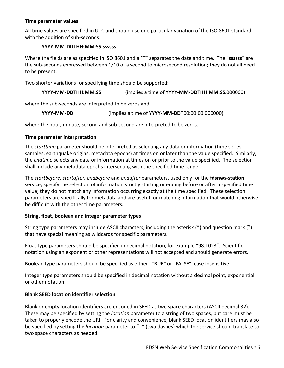# **Time parameter values**

All **time** values are specified in UTC and should use one particular variation of the ISO 8601 standard with the addition of sub-seconds:

### **YYYY-MM-DD**T**HH:MM:SS.ssssss**

Where the fields are as specified in ISO 8601 and a "T" separates the date and time. The "**ssssss**" are the sub-seconds expressed between 1/10 of a second to microsecond resolution; they do not all need to be present.

Two shorter variations for specifying time should be supported:

| YYYY-MM-DDTHH:MM:SS | (implies a time of YYYY-MM-DDTHH:MM:SS.000000) |
|---------------------|------------------------------------------------|
|---------------------|------------------------------------------------|

where the sub-seconds are interpreted to be zeros and

**YYYY-MM-DD** (implies a time of **YYYY-MM-DD**T00:00:00.000000)

where the hour, minute, second and sub-second are interpreted to be zeros.

## **Time parameter interpretation**

The *starttime* parameter should be interpreted as selecting any data or information (time series samples, earthquake origins, metadata epochs) at times on or later than the value specified. Similarly, the *endtime* selects any data or information at times on or prior to the value specified. The selection shall include any metadata epochs intersecting with the specified time range.

The *startbefore, startafter, endbefore* and *endafter* parameters, used only for the **fdsnws-station** service, specify the selection of information strictly starting or ending before or after a specified time value; they do not match any information occurring exactly at the time specified. These selection parameters are specifically for metadata and are useful for matching information that would otherwise be difficult with the other time parameters.

## **String, float, boolean and integer parameter types**

String type parameters may include ASCII characters, including the asterisk (\*) and question mark (?) that have special meaning as wildcards for specific parameters.

Float type parameters should be specified in decimal notation, for example "98.1023". Scientific notation using an exponent or other representations will not accepted and should generate errors.

Boolean type parameters should be specified as either "TRUE" or "FALSE", case insensitive.

Integer type parameters should be specified in decimal notation without a decimal point, exponential or other notation.

## **Blank SEED location identifier selection**

Blank or empty location identifiers are encoded in SEED as two space characters (ASCII decimal 32). These may be specified by setting the *location* parameter to a string of two spaces, but care must be taken to properly encode the URI. For clarity and convenience, blank SEED location identifiers may also be specified by setting the *location* parameter to "--" (two dashes) which the service should translate to two space characters as needed.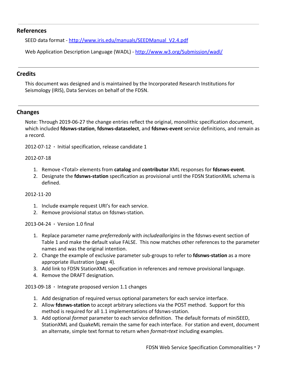# **References**

SEED data format - [http://www.iris.edu/manuals/SEEDManual\\_V2.4.pdf](http://www.iris.edu/manuals/SEEDManual_V2.4.pdf)

Web Application Description Language (WADL) - <http://www.w3.org/Submission/wadl/>

# **Credits**

This document was designed and is maintained by the Incorporated Research Institutions for Seismology (IRIS), Data Services on behalf of the FDSN.

# **Changes**

Note: Through 2019-06-27 the change entries reflect the original, monolithic specification document, which included **fdsnws-station**, **fdsnws-dataselect**, and **fdsnws-event** service definitions, and remain as a record.

2012-07-12 **·** Initial specification, release candidate 1

## 2012-07-18

- 1. Remove <Total> elements from **catalog** and **contributor** XML responses for **fdsnws-event**.
- 2. Designate the **fdsnws-station** specification as provisional until the FDSN StationXML schema is defined.

## 2012-11-20

- 1. Include example request URI's for each service.
- 2. Remove provisional status on fdsnws-station.

2013-04-24 **·** Version 1.0 final

- 1. Replace parameter name *preferredonly* with *includeallorigins* in the fdsnws-event section of Table 1 and make the default value FALSE. This now matches other references to the parameter names and was the original intention.
- 2. Change the example of exclusive parameter sub-groups to refer to **fdsnws-station** as a more appropriate illustration (page 4).
- 3. Add link to FDSN StationXML specification in references and remove provisional language.
- 4. Remove the DRAFT designation.

2013-09-18 **·** Integrate proposed version 1.1 changes

- 1. Add designation of required versus optional parameters for each service interface.
- 2. Allow **fdsnws-station** to accept arbitrary selections via the POST method. Support for this method is required for all 1.1 implementations of fdsnws-station.
- 3. Add optional *format* parameter to each service definition. The default formats of miniSEED, StationXML and QuakeML remain the same for each interface. For station and event, document an alternate, simple text format to return when *format=text* including examples.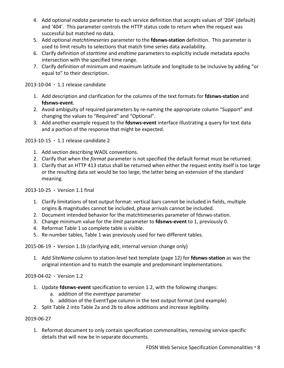- 4. Add optional *nodata* parameter to each service definition that accepts values of '204' (default) and '404'. This parameter controls the HTTP status code to return when the request was successful but matched no data.
- 5. Add optional *matchtimeseries* parameter to the **fdsnws-station** definition. This parameter is used to limit results to selections that match time series data availability.
- 6. Clarify definition of *starttime* and *endtime* parameters to explicitly include metadata epochs intersection with the specified time range.
- 7. Clarify definition of minimum and maximum latitude and longitude to be inclusive by adding "or equal to" to their description.

2013-10-04 **·** 1.1 release candidate

- 1. Add description and clarification for the columns of the text formats for **fdsnws-station** and **fdsnws-event**.
- 2. Avoid ambiguity of required parameters by re-naming the appropriate column "Support" and changing the values to "Required" and "Optional".
- 3. Add another example request to the **fdsnws-event** interface illustrating a query for text data and a portion of the response that might be expected.

2013-10-15 **·** 1.1 release candidate 2

- 1. Add section describing WADL conventions.
- 2. Clarify that when the *format* parameter is not specified the default format must be returned.
- 3. Clarify that an HTTP 413 status shall be returned when either the request entity itself is too large or the resulting data set would be too large, the latter being an extension of the standard meaning.

2013-10-25 **·** Version 1.1 final

- 1. Clarify limitations of text output format: vertical bars cannot be included in fields, multiple origins & magnitudes cannot be included, phase arrivals cannot be included.
- 2. Document intended behavior for the matchtimeseries parameter of fdsnws-station.
- 3. Change minimum value for the *limit* parameter to **fdsnws-event** to 1, previously 0.
- 4. Reformat Table 1 so complete table is visible.
- 5. Re-number tables, Table 1 was previously used for two different tables.

2015-06-19 **·** Version 1.1b (clarifying edit, internal version change only)

1. Add *SiteName* column to station-level text template (page 12) for **fdsnws-station** as was the original intention and to match the example and predominant implementations.

2019-04-02 **·** Version 1.2

- 1. Update **fdsnws-event** specification to version 1.2, with the following changes:
	- a. addition of the *eventtype* parameter
	- b. addition of the EventType column in the text output format (and example)
- 2. Split Table 2 into Table 2a and 2b to allow additions and increase legibility.

# 2019-06-27

1. Reformat document to only contain specification commonalities, removing service specific details that will now be in separate documents.